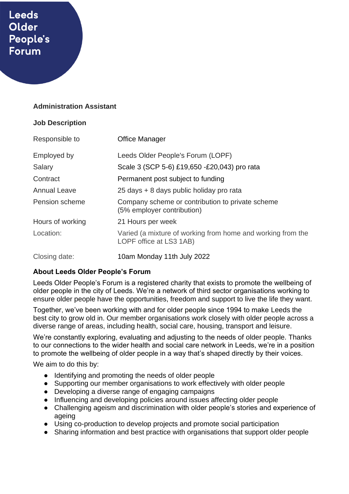# **Leeds** Older People's **Forum**

## **Administration Assistant**

#### **Job Description**

| Responsible to      | Office Manager                                                                         |
|---------------------|----------------------------------------------------------------------------------------|
| Employed by         | Leeds Older People's Forum (LOPF)                                                      |
| Salary              | Scale 3 (SCP 5-6) £19,650 -£20,043) pro rata                                           |
| Contract            | Permanent post subject to funding                                                      |
| <b>Annual Leave</b> | 25 days + 8 days public holiday pro rata                                               |
| Pension scheme      | Company scheme or contribution to private scheme<br>(5% employer contribution)         |
| Hours of working    | 21 Hours per week                                                                      |
| Location:           | Varied (a mixture of working from home and working from the<br>LOPF office at LS3 1AB) |
| Closing date:       | 10am Monday 11th July 2022                                                             |

# **About Leeds Older People's Forum**

Leeds Older People's Forum is a registered charity that exists to promote the wellbeing of older people in the city of Leeds. We're a network of third sector organisations working to ensure older people have the opportunities, freedom and support to live the life they want.

Together, we've been working with and for older people since 1994 to make Leeds the best city to grow old in. Our member organisations work closely with older people across a diverse range of areas, including health, social care, housing, transport and leisure.

We're constantly exploring, evaluating and adjusting to the needs of older people. Thanks to our connections to the wider health and social care network in Leeds, we're in a position to promote the wellbeing of older people in a way that's shaped directly by their voices.

We aim to do this by:

- Identifying and promoting the needs of older people
- Supporting our member organisations to work effectively with older people
- Developing a diverse range of engaging campaigns
- Influencing and developing policies around issues affecting older people
- Challenging ageism and discrimination with older people's stories and experience of ageing
- Using co-production to develop projects and promote social participation
- Sharing information and best practice with organisations that support older people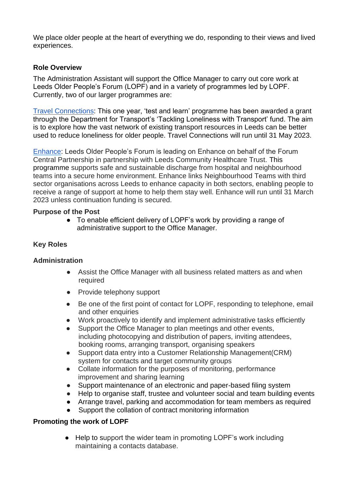We place older people at the heart of everything we do, responding to their views and lived experiences.

# **Role Overview**

The Administration Assistant will support the Office Manager to carry out core work at Leeds Older People's Forum (LOPF) and in a variety of programmes led by LOPF. Currently, two of our larger programmes are:

[Travel Connections:](https://www.opforum.org.uk/projects-and-campaigns/travel-connections/) This one year, 'test and learn' programme has been awarded a grant through the Department for Transport's 'Tackling Loneliness with Transport' fund. The aim is to explore how the vast network of existing transport resources in Leeds can be better used to reduce loneliness for older people. Travel Connections will run until 31 May 2023.

[Enhance:](https://www.opforum.org.uk/projects-and-campaigns/enhance-programme/) Leeds Older People's Forum is leading on Enhance on behalf of the Forum Central Partnership in partnership with Leeds Community Healthcare Trust. This programme supports safe and sustainable discharge from hospital and neighbourhood teams into a secure home environment. Enhance links Neighbourhood Teams with third sector organisations across Leeds to enhance capacity in both sectors, enabling people to receive a range of support at home to help them stay well. Enhance will run until 31 March 2023 unless continuation funding is secured.

#### **Purpose of the Post**

• To enable efficient delivery of LOPF's work by providing a range of administrative support to the Office Manager.

# **Key Roles**

#### **Administration**

- Assist the Office Manager with all business related matters as and when required
- Provide telephony support
- Be one of the first point of contact for LOPF, responding to telephone, email and other enquiries
- Work proactively to identify and implement administrative tasks efficiently
- Support the Office Manager to plan meetings and other events, including photocopying and distribution of papers, inviting attendees, booking rooms, arranging transport, organising speakers
- Support data entry into a Customer Relationship Management(CRM) system for contacts and target community groups
- Collate information for the purposes of monitoring, performance improvement and sharing learning
- Support maintenance of an electronic and paper-based filing system
- Help to organise staff, trustee and volunteer social and team building events
- Arrange travel, parking and accommodation for team members as required
- Support the collation of contract monitoring information

#### **Promoting the work of LOPF**

● Help to support the wider team in promoting LOPF's work including maintaining a contacts database.